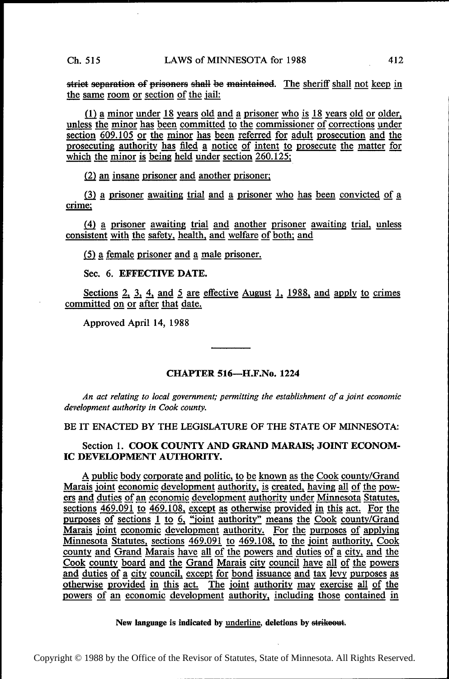strict separation of prisoners shall be maintained. The sheriff shall not keep in the same room or section of the jail:

(1)  $\underline{a}$  minor under 18 years old and a prisoner who is 18 years old or older, unless the minor has been committed to the commissioner of corrections under unless the minor has been committed to the commissioner of corrections under section  $609.105$  or the minor has been referred for adult prosecution and the section 609.105 or the minor has been referred for adult prosecution and the prosecuting authority has filed a notice of intent to prosecute the matter for prosecuting authority has filed a notice of intent to prosecute the matter for which the minor is being held under section  $260.125$ ;

(2) an insane prisoner and another prisoner;

 $(3)$  a prisoner awaiting trial and a prisoner who has been convicted of a crime;

(4) a prisoner awaiting trial and another prisoner awaiting trial, unless consistent with the safety, health, and welfare of both; and

(5) a female prisoner and a male prisoner.

Sec. 6. EFFECTIVE DATE.

Sections 2, 3, 4, and  $\overline{5}$  are effective August 1, 1988, and apply to crimes committed on or after that date.

Approved April 14, 1988

#### CHAPTER 516——H.F.No. <sup>1224</sup>

An act relating to local government; permitting the establishment of a joint economic development authority in Cook county.

BE IT ENACTED BY THE LEGISLATURE OF THE STATE OF MINNESOTA:

Section 1. COOK COUNTY AND GRAND MARAIS; JOINT ECONOM-IC DEVELOPMENT AUTHORITY.

A public body corporate and politic, to be known as the Cook county/Grand Marais joint economic development authority, is created, having all of the powers and duties of an economic development authority under Minnesota Statutes, sections 469.091 to 469.108, except as otherwise provided in this act. For the sections 469.091 to 469.108, except as otherwise provided in this act. For the purposes of sections 1 to 6, "joint authority" means the Cook county/Grand Marais joint economic development authority. For the purposes of applying Minnesota Statutes, sections 469.091 to 469.108, to the joint authority, Cook county and Grand Marais have all of the powers and duties of a city, and the Cook county board and the Grand Marais city council have all of the powers Cook county board and the Grand Marais city council have all of the powers<br>and duties of a city council, except for bond issuance and tax levy purposes as<br>otherwise provided in this act. The joint authority may exercise al powers of an economic development authority, including those contained in

New language is indicated by underline, deletions by strikeout.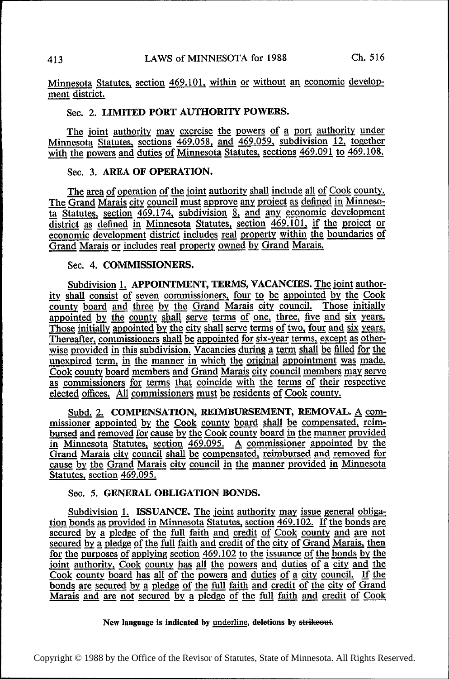Minnesota Statutes, section 469.101, within or without an economic development district.

# Sec. 2. LIMITED PORT AUTHORITY POWERS.

The joint authority may exercise the powers of a port authority under Minnesota Statutes, sections 469.058, and 469.059, subdivision 12, together with the powers and duties of Minnesota Statutes, sections 469.091 to 469.108.

## Sec. 3. AREA OF OPERATION.

The area of operation of the joint authority shall include all of Cook county.<br>The Grand Marais city council must approve any project as defined in Minneso-<br>ta Statutes, section 469.174, subdivision 8, and any economic dev The Statutes, section 469.174, subdivision 8, and any economic development<br>district as defined in Minnesota Statutes, section 469.174, subdivision 8, and any economic development<br>district as defined in Minnesota Statutes, economic development district includes real property within the boundaries of Grand Marais or includes real property owned by Grand Marais.

### Sec. 4. COMMISSIONERS.

Subdivision 1. APPOINTMENT, TERMS, VACANCIES. The joint authority shall consist of seven commissioners, four to be appointed by the Cook county board and three by the Grand Marais city council. Those initially appointed by the county shall serve terms of one, three, five and six years. Those initially appointed by the city shall serve terms of two, four and six years. Thereafter, commissioners shall be appointed for six-year terms, except as otherwise provided in this subdivision. Vacancies during a term shall be filled for the unexpired term, in the manner in which the original appointment was made. Cook county board members and Grand Marais city council members may serve as commissioners for terms that coincide with the terms of their respective elected offices. All commissioners must be residents of Cook county.

Subd. 2. COMPENSATION, REIMBURSEMENT, REMOVAL. A commissioner appointed by the Cook county board shall be compensated, reim-<br>bursed and removed for cause by the Cook county board in the manner provided missioner appointed by the Cook county board shan be compensated, tennie bursed and removed for cause by the Cook county board in the manner provided in Minnesota Statutes, section 469.095. A commissioner appointed by the Grand Marais city council shall be compensated, reimbursed and removed for cause by the Grand Marais city council in the manner provided in Minnesota Statutes, section 469.095.

#### Sec. 5. GENERAL OBLIGATION BONDS.

Subdivision 1. ISSUANCE. The joint authority may issue general obligation bonds as provided in Minnesota Statutes, section  $469.102$ . If the bonds are secured by a pledge of the full faith and credit of Cook county and are not secured by a pledge of the full faith and credit of Cook county and are not<br>secured by a pledge of the full faith and credit of Cook county and are not<br>secured by a pledge of the full faith and credit of the city of Grand joint authority, Cook county has all the powers and duties of a city and the Cook county board has all of the powers and duties of a city council. If the bonds are secured by a pledge of the full faith and credit of the city of Grand Marais and are not secured by a pledge of the full faith and credit of Cook

New language is indicated by underline, deletions by strikeout.